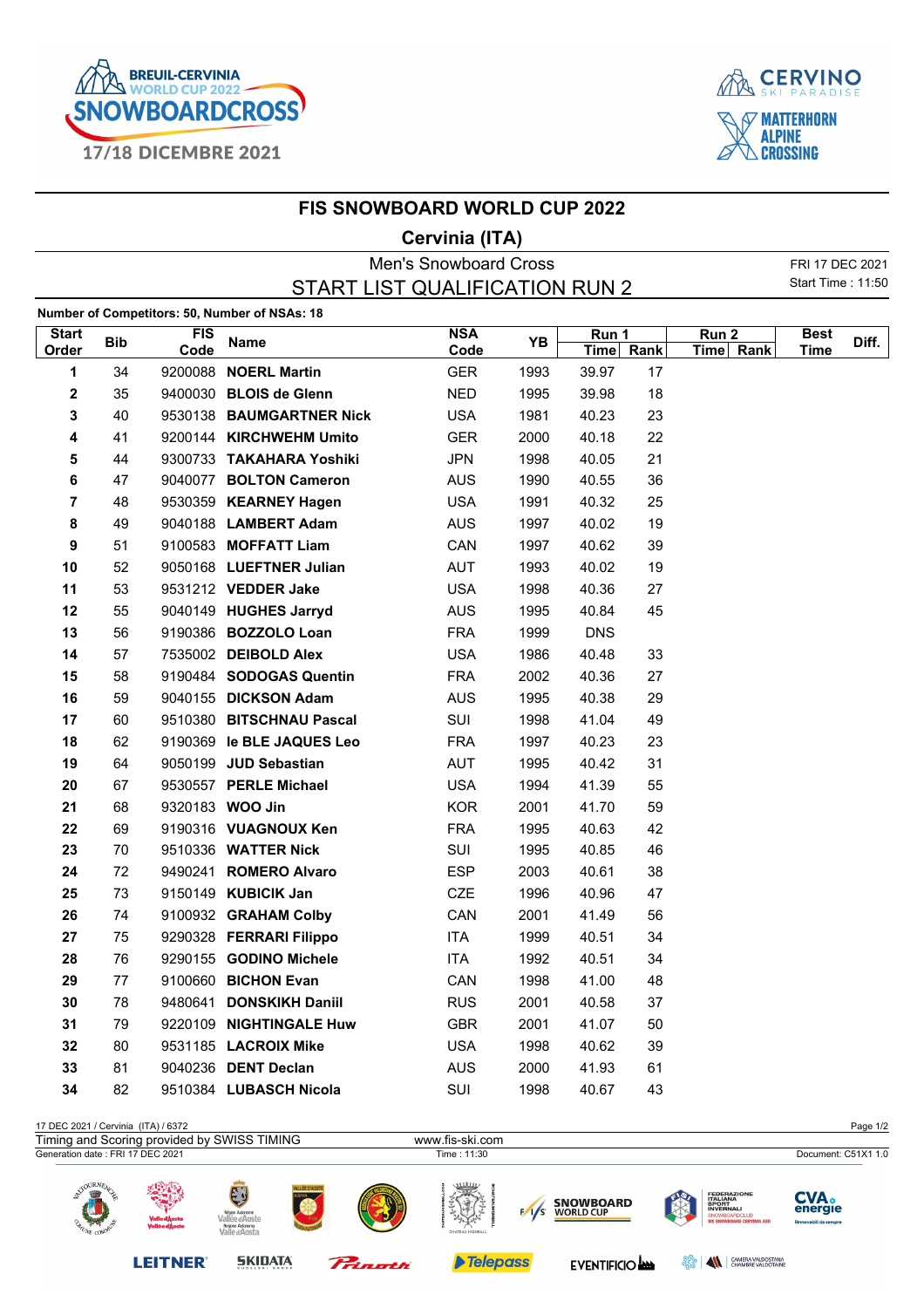



## **FIS SNOWBOARD WORLD CUP 2022**

## **Cervinia (ITA)**

|              |            |            |                                               | <b>Men's Snowboard Cross</b> |      |            |    |           | FRI 17 DEC 2021          |       |
|--------------|------------|------------|-----------------------------------------------|------------------------------|------|------------|----|-----------|--------------------------|-------|
|              |            |            | START LIST QUALIFICATION RUN 2                |                              |      |            |    |           | <b>Start Time: 11:50</b> |       |
|              |            |            | Number of Competitors: 50, Number of NSAs: 18 |                              |      |            |    |           |                          |       |
| <b>Start</b> |            | <b>FIS</b> |                                               | <b>NSA</b>                   |      | Run 1      |    | Run 2     | <b>Best</b>              |       |
| Order        | <b>Bib</b> | Code       | <b>Name</b>                                   | Code                         | YB   | Time Rank  |    | Time Rank | <b>Time</b>              | Diff. |
| 1            | 34         |            | 9200088 NOERL Martin                          | <b>GER</b>                   | 1993 | 39.97      | 17 |           |                          |       |
| 2            | 35         |            | 9400030 BLOIS de Glenn                        | <b>NED</b>                   | 1995 | 39.98      | 18 |           |                          |       |
| 3            | 40         |            | 9530138 BAUMGARTNER Nick                      | <b>USA</b>                   | 1981 | 40.23      | 23 |           |                          |       |
| 4            | 41         |            | 9200144 KIRCHWEHM Umito                       | <b>GER</b>                   | 2000 | 40.18      | 22 |           |                          |       |
| 5            | 44         |            | 9300733 TAKAHARA Yoshiki                      | <b>JPN</b>                   | 1998 | 40.05      | 21 |           |                          |       |
| 6            | 47         |            | 9040077 BOLTON Cameron                        | <b>AUS</b>                   | 1990 | 40.55      | 36 |           |                          |       |
| 7            | 48         |            | 9530359 KEARNEY Hagen                         | <b>USA</b>                   | 1991 | 40.32      | 25 |           |                          |       |
| 8            | 49         |            | 9040188 LAMBERT Adam                          | <b>AUS</b>                   | 1997 | 40.02      | 19 |           |                          |       |
| 9            | 51         |            | 9100583 MOFFATT Liam                          | CAN                          | 1997 | 40.62      | 39 |           |                          |       |
| 10           | 52         |            | 9050168 LUEFTNER Julian                       | <b>AUT</b>                   | 1993 | 40.02      | 19 |           |                          |       |
| 11           | 53         |            | 9531212 VEDDER Jake                           | <b>USA</b>                   | 1998 | 40.36      | 27 |           |                          |       |
| 12           | 55         |            | 9040149 HUGHES Jarryd                         | <b>AUS</b>                   | 1995 | 40.84      | 45 |           |                          |       |
| 13           | 56         |            | 9190386 BOZZOLO Loan                          | <b>FRA</b>                   | 1999 | <b>DNS</b> |    |           |                          |       |
| 14           | 57         |            | 7535002 DEIBOLD Alex                          | <b>USA</b>                   | 1986 | 40.48      | 33 |           |                          |       |
| 15           | 58         |            | 9190484 SODOGAS Quentin                       | <b>FRA</b>                   | 2002 | 40.36      | 27 |           |                          |       |
| 16           | 59         |            | 9040155 DICKSON Adam                          | <b>AUS</b>                   | 1995 | 40.38      | 29 |           |                          |       |
| 17           | 60         |            | 9510380 BITSCHNAU Pascal                      | SUI                          | 1998 | 41.04      | 49 |           |                          |       |
| 18           | 62         |            | 9190369 le BLE JAQUES Leo                     | <b>FRA</b>                   | 1997 | 40.23      | 23 |           |                          |       |
| 19           | 64         |            | 9050199 JUD Sebastian                         | <b>AUT</b>                   | 1995 | 40.42      | 31 |           |                          |       |
| 20           | 67         |            | 9530557 PERLE Michael                         | <b>USA</b>                   | 1994 | 41.39      | 55 |           |                          |       |
| 21           | 68         |            | 9320183 WOO Jin                               | <b>KOR</b>                   | 2001 | 41.70      | 59 |           |                          |       |
| 22           | 69         |            | 9190316 VUAGNOUX Ken                          | <b>FRA</b>                   | 1995 | 40.63      | 42 |           |                          |       |
| 23           | 70         |            | 9510336 WATTER Nick                           | SUI                          | 1995 | 40.85      | 46 |           |                          |       |
| 24           | 72         |            | 9490241 ROMERO Alvaro                         | <b>ESP</b>                   | 2003 | 40.61      | 38 |           |                          |       |
| 25           | 73         |            | 9150149 KUBICIK Jan                           | CZE                          | 1996 | 40.96      | 47 |           |                          |       |
| 26           | 74         |            | 9100932 GRAHAM Colby                          | CAN                          | 2001 | 41.49      | 56 |           |                          |       |
| 27           | 75         |            | 9290328 FERRARI Filippo                       | <b>ITA</b>                   | 1999 | 40.51      | 34 |           |                          |       |
| 28           | 76         |            | 9290155 GODINO Michele                        | ITA                          | 1992 | 40.51      | 34 |           |                          |       |
| 29           | 77         |            | 9100660 BICHON Evan                           | CAN                          | 1998 | 41.00      | 48 |           |                          |       |
| 30           | 78         |            | 9480641 DONSKIKH Daniil                       | <b>RUS</b>                   | 2001 | 40.58      | 37 |           |                          |       |
| 31           | 79         |            | 9220109 NIGHTINGALE Huw                       | <b>GBR</b>                   | 2001 | 41.07      | 50 |           |                          |       |
| 32           | 80         |            | 9531185 LACROIX Mike                          | <b>USA</b>                   | 1998 | 40.62      | 39 |           |                          |       |
| 33           | 81         |            | 9040236 DENT Declan                           | <b>AUS</b>                   | 2000 | 41.93      | 61 |           |                          |       |
| 34           | 82         |            | 9510384 LUBASCH Nicola                        | SUI                          | 1998 | 40.67      | 43 |           |                          |       |
|              |            |            |                                               |                              |      |            |    |           |                          |       |

| 17 DEC 2021 / Cervinia (ITA) / 6372         |                                 |                                                                             |               |           |                  |     |                                      |        |                                                                                                                    | Page 1/2                                        |
|---------------------------------------------|---------------------------------|-----------------------------------------------------------------------------|---------------|-----------|------------------|-----|--------------------------------------|--------|--------------------------------------------------------------------------------------------------------------------|-------------------------------------------------|
| Timing and Scoring provided by SWISS TIMING |                                 |                                                                             |               |           | www.fis-ski.com  |     |                                      |        |                                                                                                                    |                                                 |
| Generation date: FRI 17 DEC 2021            |                                 |                                                                             |               |           | Time : 11:30     |     |                                      |        |                                                                                                                    | Document: C51X1 1.0                             |
| <b>SOURNEA</b><br><b>SISSE</b>              | Valle d'Àosta<br>Vallée d'Àoste | E<br>Région Autonome<br>Vallée d'Aoste<br>Regione Autonoma<br>Valle d'Aosta | ALLÉE D'AOSTE |           | CHATEAU HIGHBALL | 1/s | <b>SNOWBOARD</b><br><b>WORLD CUP</b> |        | <b>FEDERAZIONE</b><br><b>ITALIANA<br/>SPORT<br/>INVERNALI</b><br>SNOWBOARDCLUB<br><b>WE SNOWBOARD CERVINIA ASD</b> | <b>CVA.</b><br>energie<br>Rinnovabili da sempre |
|                                             | <b>LEITNER</b>                  | <b>SKIDATA</b>                                                              |               | Princetti | <b>Telepass</b>  |     | EVENTIFICIO                          | ಕ್ಷ್ಮೀ | CAMERA VALDOSTANA<br>$\blacksquare$                                                                                |                                                 |